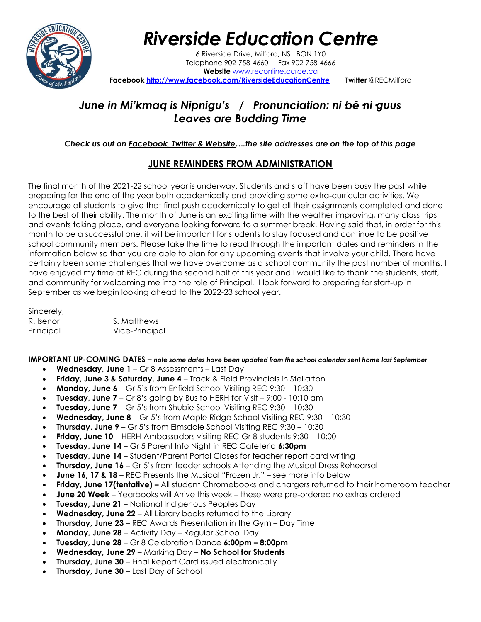

### *Riverside Education Centre*

6 Riverside Drive, Milford, NS BON 1Y0 Telephone 902-758-4660 Fax 902-758-4666 **Website** [www.reconline.ccrce.ca](http://www.reconline.ccrce.ca/)  **Facebook <http://www.facebook.com/RiversideEducationCentre>Twitter** @RECMilford

### June in Mi'kmag is Nipnigu's / Pronunciation: ni bê ni guus *Leaves are Budding Time*

#### *Check us out on Facebook, Twitter & Website….the site addresses are on the top of this page*

### **JUNE REMINDERS FROM ADMINISTRATION**

The final month of the 2021-22 school year is underway. Students and staff have been busy the past while preparing for the end of the year both academically and providing some extra-curricular activities. We encourage all students to give that final push academically to get all their assignments completed and done to the best of their ability. The month of June is an exciting time with the weather improving, many class trips and events taking place, and everyone looking forward to a summer break. Having said that, in order for this month to be a successful one, it will be important for students to stay focused and continue to be positive school community members. Please take the time to read through the important dates and reminders in the information below so that you are able to plan for any upcoming events that involve your child. There have certainly been some challenges that we have overcome as a school community the past number of months. I have enjoyed my time at REC during the second half of this year and I would like to thank the students, staff, and community for welcoming me into the role of Principal. I look forward to preparing for start-up in September as we begin looking ahead to the 2022-23 school year.

Sincerely, R. Isenor S. Matthews Principal Vice-Principal

**IMPORTANT UP-COMING DATES –** *note some dates have been updated from the school calendar sent home last September*

- **Wednesday, June 1** Gr 8 Assessments Last Day
- **Friday, June 3 & Saturday, June 4** Track & Field Provincials in Stellarton
- **Monday, June 6** Gr 5's from Enfield School Visiting REC 9:30 10:30
- **Tuesday, June 7**  Gr 8's going by Bus to HERH for Visit 9:00 10:10 am
- **Tuesday, June 7** Gr 5's from Shubie School Visiting REC 9:30 10:30
- **Wednesday, June 8** Gr 5's from Maple Ridge School Visiting REC 9:30 10:30
- **Thursday, June 9** Gr 5's from Elmsdale School Visiting REC 9:30 10:30
- **Friday, June 10**  HERH Ambassadors visiting REC Gr 8 students 9:30 10:00
- **Tuesday, June 14** Gr 5 Parent Info Night in REC Cafeteria **6:30pm**
- **Tuesday, June 14**  Student/Parent Portal Closes for teacher report card writing
- **Thursday, June 16** Gr 5's from feeder schools Attending the Musical Dress Rehearsal
- **June 16, 17 & 18**  REC Presents the Musical "Frozen Jr." see more info below
- **Friday, June 17(tentative) –** All student Chromebooks and chargers returned to their homeroom teacher
- **June 20 Week** Yearbooks will Arrive this week these were pre-ordered no extras ordered
- **Tuesday, June 21**  National Indigenous Peoples Day
- **Wednesday, June 22** All Library books returned to the Library
- **Thursday, June 23** REC Awards Presentation in the Gym Day Time
- **Monday, June 28** Activity Day Regular School Day
- **Tuesday, June 28** Gr 8 Celebration Dance **6:00pm – 8:00pm**
- **Wednesday, June 29** Marking Day **No School for Students**
- **Thursday, June 30** Final Report Card issued electronically
- **Thursday, June 30**  Last Day of School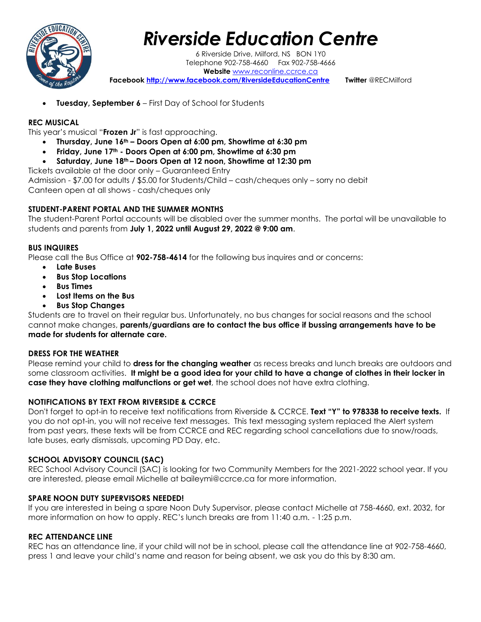

## *Riverside Education Centre*

6 Riverside Drive, Milford, NS BON 1Y0 Telephone 902-758-4660 Fax 902-758-4666 **Website** [www.reconline.ccrce.ca](http://www.reconline.ccrce.ca/)  **Facebook <http://www.facebook.com/RiversideEducationCentre>Twitter** @RECMilford

• **Tuesday, September 6** – First Day of School for Students

#### **REC MUSICAL**

This year's musical "**Frozen Jr**" is fast approaching.

- **Thursday, June 16th – Doors Open at 6:00 pm, Showtime at 6:30 pm**
- **Friday, June 17th - Doors Open at 6:00 pm, Showtime at 6:30 pm**
- **Saturday, June 18th – Doors Open at 12 noon, Showtime at 12:30 pm**

Tickets available at the door only – Guaranteed Entry

Admission - \$7.00 for adults / \$5.00 for Students/Child – cash/cheques only – sorry no debit Canteen open at all shows - cash/cheques only

#### **STUDENT-PARENT PORTAL AND THE SUMMER MONTHS**

The student-Parent Portal accounts will be disabled over the summer months. The portal will be unavailable to students and parents from **July 1, 2022 until August 29, 2022 @ 9:00 am**.

#### **BUS INQUIRES**

Please call the Bus Office at **902-758-4614** for the following bus inquires and or concerns:

- **Late Buses**
- **Bus Stop Locations**
- **Bus Times**
- **Lost Items on the Bus**
- **Bus Stop Changes**

Students are to travel on their regular bus. Unfortunately, no bus changes for social reasons and the school cannot make changes, **parents/guardians are to contact the bus office if bussing arrangements have to be made for students for alternate care.**

#### **DRESS FOR THE WEATHER**

Please remind your child to **dress for the changing weather** as recess breaks and lunch breaks are outdoors and some classroom activities. **It might be a good idea for your child to have a change of clothes in their locker in case they have clothing malfunctions or get wet**, the school does not have extra clothing.

#### **NOTIFICATIONS BY TEXT FROM RIVERSIDE & CCRCE**

Don't forget to opt-in to receive text notifications from Riverside & CCRCE. **Text "Y" to 978338 to receive texts.** If you do not opt-in, you will not receive text messages. This text messaging system replaced the Alert system from past years, these texts will be from CCRCE and REC regarding school cancellations due to snow/roads, late buses, early dismissals, upcoming PD Day, etc.

#### **SCHOOL ADVISORY COUNCIL (SAC)**

REC School Advisory Council (SAC) is looking for two Community Members for the 2021-2022 school year. If you are interested, please email Michelle at baileymi@ccrce.ca for more information.

#### **SPARE NOON DUTY SUPERVISORS NEEDED!**

If you are interested in being a spare Noon Duty Supervisor, please contact Michelle at 758-4660, ext. 2032, for more information on how to apply. REC's lunch breaks are from 11:40 a.m. - 1:25 p.m.

#### **REC ATTENDANCE LINE**

REC has an attendance line, if your child will not be in school, please call the attendance line at 902-758-4660, press 1 and leave your child's name and reason for being absent, we ask you do this by 8:30 am.